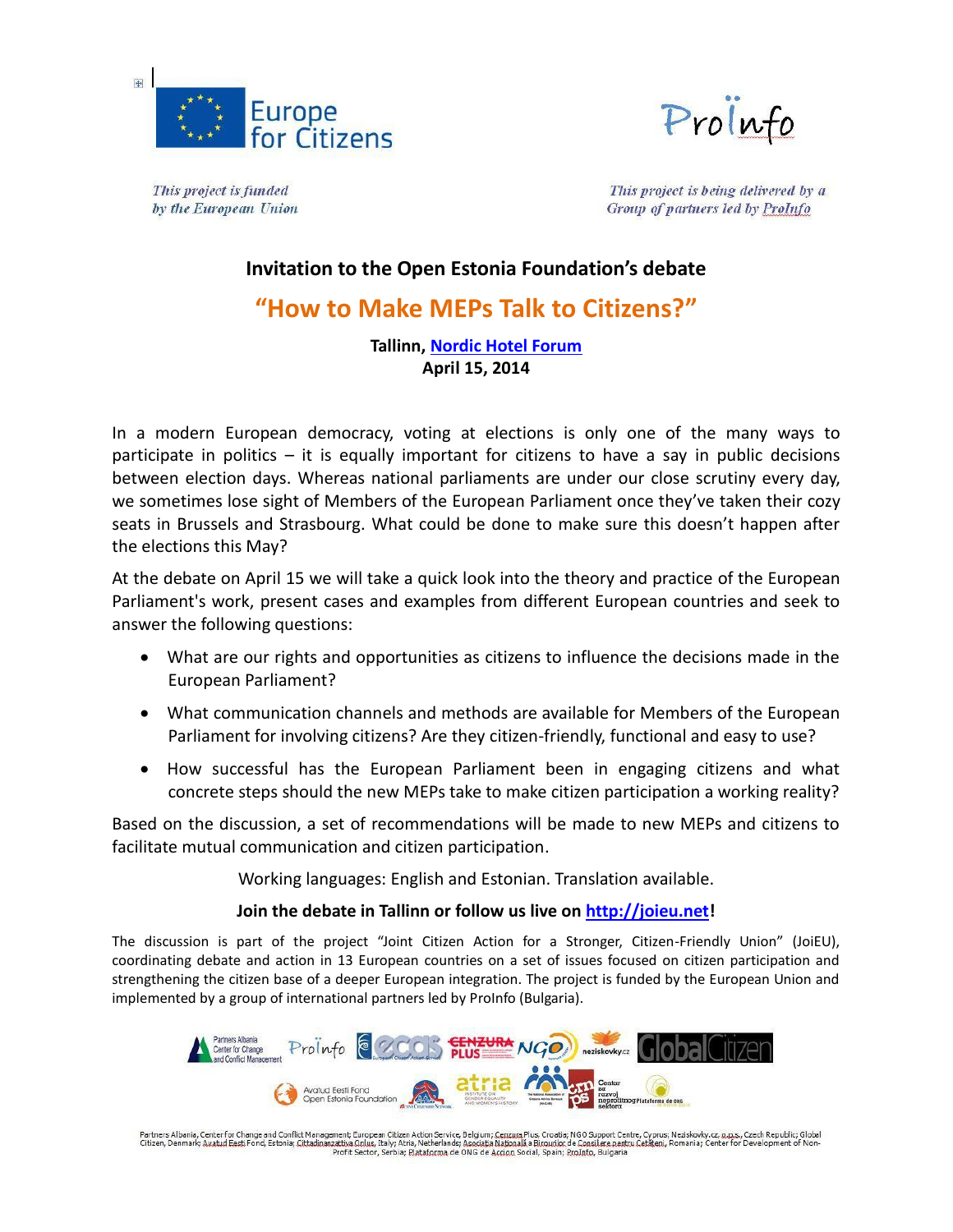



This project is funded by the European Union

This project is being delivered by a Group of partners led by ProInfo

## **Invitation to the Open Estonia Foundation's debate**

# **"How to Make MEPs Talk to Citizens?"**

### **Tallinn, [Nordic Hotel Forum](http://www.nordichotels.eu/en/location) April 15, 2014**

In a modern European democracy, voting at elections is only one of the many ways to participate in politics  $-$  it is equally important for citizens to have a say in public decisions between election days. Whereas national parliaments are under our close scrutiny every day, we sometimes lose sight of Members of the European Parliament once they've taken their cozy seats in Brussels and Strasbourg. What could be done to make sure this doesn't happen after the elections this May?

At the debate on April 15 we will take a quick look into the theory and practice of the European Parliament's work, present cases and examples from different European countries and seek to answer the following questions:

- What are our rights and opportunities as citizens to influence the decisions made in the European Parliament?
- What communication channels and methods are available for Members of the European Parliament for involving citizens? Are they citizen-friendly, functional and easy to use?
- How successful has the European Parliament been in engaging citizens and what concrete steps should the new MEPs take to make citizen participation a working reality?

Based on the discussion, a set of recommendations will be made to new MEPs and citizens to facilitate mutual communication and citizen participation.

Working languages: English and Estonian. Translation available.

### **Join the debate in Tallinn or follow us live on [http://joieu.net!](http://joieu.net/)**

The discussion is part of the project "Joint Citizen Action for a Stronger, Citizen-Friendly Union" (JoiEU), coordinating debate and action in 13 European countries on a set of issues focused on citizen participation and strengthening the citizen base of a deeper European integration. The project is funded by the European Union and implemented by a group of international partners led by ProInfo (Bulgaria).



Partners Albania, Center for Change and Conflict Management; European Citizen Action Service, Belgium; Cenzum Plus, Croatia; NGO Support Centre, Cyprus; Neziskovky.cz, p.p.s., Czech Republic; Global<br>Citizen, Denmark; Avabu